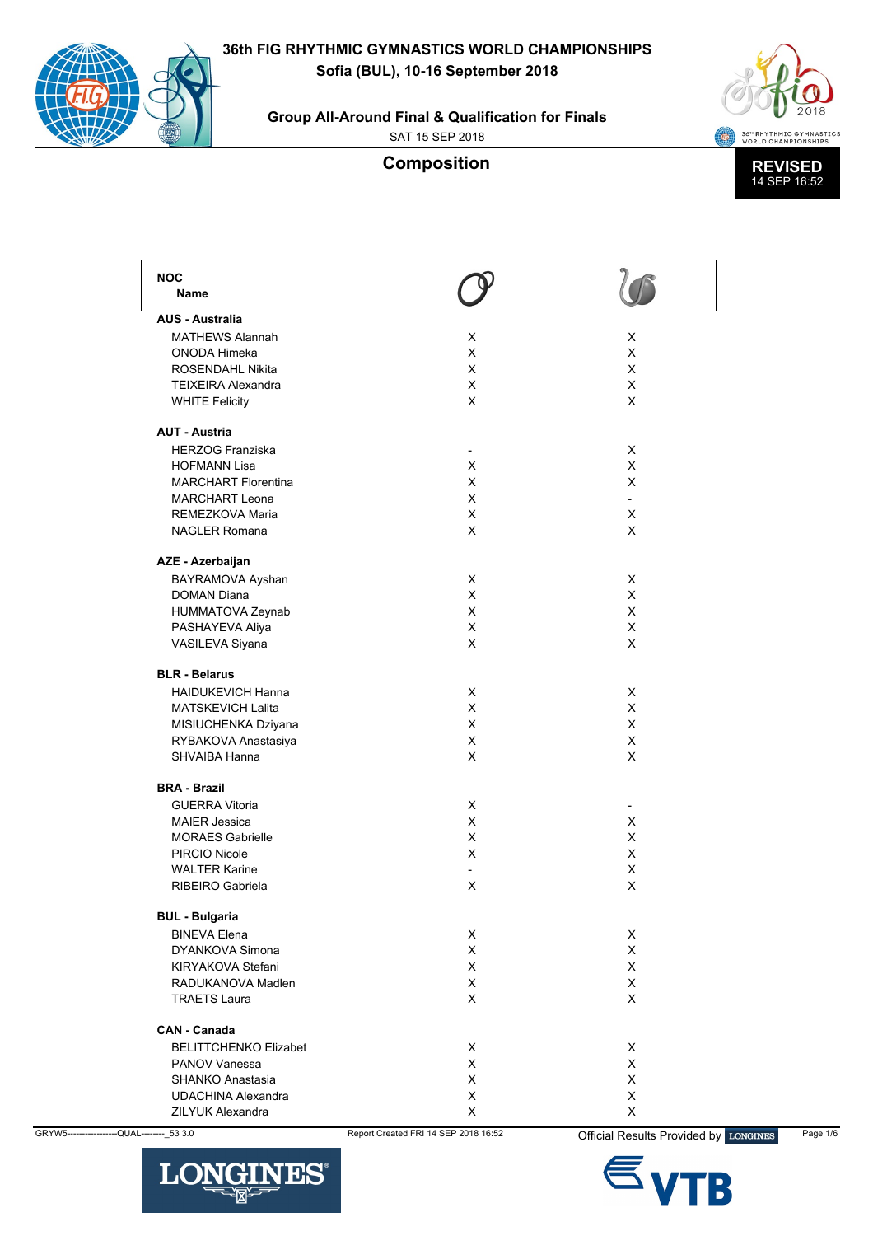**Group All-Around Final & Qualification for Finals**

SAT 15 SEP 2018

# **Composition**



| <b>NOC</b><br>Name<br><b>AUS - Australia</b><br><b>MATHEWS Alannah</b><br>X<br>X<br>X<br>ONODA Himeka<br>X<br><b>ROSENDAHL Nikita</b><br>X.<br>X<br><b>TEIXEIRA Alexandra</b><br>X<br>X<br>X<br>X<br><b>WHITE Felicity</b><br><b>AUT - Austria</b><br><b>HERZOG Franziska</b><br>X<br>٠<br>X<br><b>HOFMANN Lisa</b><br>X<br><b>MARCHART Florentina</b><br>X<br>X<br><b>MARCHART Leona</b><br>X<br>$\blacksquare$<br>REMEZKOVA Maria<br>X<br>X<br><b>NAGLER Romana</b><br>X<br>X<br>AZE - Azerbaijan<br>BAYRAMOVA Ayshan<br>X<br>X<br><b>DOMAN Diana</b><br>X<br>X<br>X<br>X<br>HUMMATOVA Zeynab<br>X<br>X<br>PASHAYEVA Aliya<br>X<br>X<br>VASILEVA Siyana<br><b>BLR - Belarus</b><br><b>HAIDUKEVICH Hanna</b><br>X<br>X<br><b>MATSKEVICH Lalita</b><br>X<br>X<br>X<br>X<br>MISIUCHENKA Dziyana<br>RYBAKOVA Anastasiya<br>X<br>X<br>X<br>X<br>SHVAIBA Hanna<br><b>BRA - Brazil</b><br><b>GUERRA Vitoria</b><br>X<br>X<br>X<br><b>MAIER Jessica</b><br><b>MORAES Gabrielle</b><br>X<br>X<br>PIRCIO Nicole<br>X<br>X<br><b>WALTER Karine</b><br>X<br>$\overline{a}$<br>X<br>RIBEIRO Gabriela<br>х<br><b>BUL - Bulgaria</b><br><b>BINEVA Elena</b><br>X<br>X<br>X<br>X<br><b>DYANKOVA Simona</b><br>X<br>X<br>KIRYAKOVA Stefani<br>X<br>X<br>RADUKANOVA Madlen<br><b>TRAETS Laura</b><br>X<br>X<br><b>CAN - Canada</b><br>X<br>X<br><b>BELITTCHENKO Elizabet</b><br>X<br>X.<br><b>PANOV Vanessa</b><br>X<br>X<br>SHANKO Anastasia<br>X<br>X<br><b>UDACHINA Alexandra</b><br>ZILYUK Alexandra<br>X<br>X |  |  |
|----------------------------------------------------------------------------------------------------------------------------------------------------------------------------------------------------------------------------------------------------------------------------------------------------------------------------------------------------------------------------------------------------------------------------------------------------------------------------------------------------------------------------------------------------------------------------------------------------------------------------------------------------------------------------------------------------------------------------------------------------------------------------------------------------------------------------------------------------------------------------------------------------------------------------------------------------------------------------------------------------------------------------------------------------------------------------------------------------------------------------------------------------------------------------------------------------------------------------------------------------------------------------------------------------------------------------------------------------------------------------------------------------------------------------------------------------------------------------------------------------|--|--|
|                                                                                                                                                                                                                                                                                                                                                                                                                                                                                                                                                                                                                                                                                                                                                                                                                                                                                                                                                                                                                                                                                                                                                                                                                                                                                                                                                                                                                                                                                                    |  |  |
|                                                                                                                                                                                                                                                                                                                                                                                                                                                                                                                                                                                                                                                                                                                                                                                                                                                                                                                                                                                                                                                                                                                                                                                                                                                                                                                                                                                                                                                                                                    |  |  |
|                                                                                                                                                                                                                                                                                                                                                                                                                                                                                                                                                                                                                                                                                                                                                                                                                                                                                                                                                                                                                                                                                                                                                                                                                                                                                                                                                                                                                                                                                                    |  |  |
|                                                                                                                                                                                                                                                                                                                                                                                                                                                                                                                                                                                                                                                                                                                                                                                                                                                                                                                                                                                                                                                                                                                                                                                                                                                                                                                                                                                                                                                                                                    |  |  |
|                                                                                                                                                                                                                                                                                                                                                                                                                                                                                                                                                                                                                                                                                                                                                                                                                                                                                                                                                                                                                                                                                                                                                                                                                                                                                                                                                                                                                                                                                                    |  |  |
|                                                                                                                                                                                                                                                                                                                                                                                                                                                                                                                                                                                                                                                                                                                                                                                                                                                                                                                                                                                                                                                                                                                                                                                                                                                                                                                                                                                                                                                                                                    |  |  |
|                                                                                                                                                                                                                                                                                                                                                                                                                                                                                                                                                                                                                                                                                                                                                                                                                                                                                                                                                                                                                                                                                                                                                                                                                                                                                                                                                                                                                                                                                                    |  |  |
|                                                                                                                                                                                                                                                                                                                                                                                                                                                                                                                                                                                                                                                                                                                                                                                                                                                                                                                                                                                                                                                                                                                                                                                                                                                                                                                                                                                                                                                                                                    |  |  |
|                                                                                                                                                                                                                                                                                                                                                                                                                                                                                                                                                                                                                                                                                                                                                                                                                                                                                                                                                                                                                                                                                                                                                                                                                                                                                                                                                                                                                                                                                                    |  |  |
|                                                                                                                                                                                                                                                                                                                                                                                                                                                                                                                                                                                                                                                                                                                                                                                                                                                                                                                                                                                                                                                                                                                                                                                                                                                                                                                                                                                                                                                                                                    |  |  |
|                                                                                                                                                                                                                                                                                                                                                                                                                                                                                                                                                                                                                                                                                                                                                                                                                                                                                                                                                                                                                                                                                                                                                                                                                                                                                                                                                                                                                                                                                                    |  |  |
|                                                                                                                                                                                                                                                                                                                                                                                                                                                                                                                                                                                                                                                                                                                                                                                                                                                                                                                                                                                                                                                                                                                                                                                                                                                                                                                                                                                                                                                                                                    |  |  |
|                                                                                                                                                                                                                                                                                                                                                                                                                                                                                                                                                                                                                                                                                                                                                                                                                                                                                                                                                                                                                                                                                                                                                                                                                                                                                                                                                                                                                                                                                                    |  |  |
|                                                                                                                                                                                                                                                                                                                                                                                                                                                                                                                                                                                                                                                                                                                                                                                                                                                                                                                                                                                                                                                                                                                                                                                                                                                                                                                                                                                                                                                                                                    |  |  |
|                                                                                                                                                                                                                                                                                                                                                                                                                                                                                                                                                                                                                                                                                                                                                                                                                                                                                                                                                                                                                                                                                                                                                                                                                                                                                                                                                                                                                                                                                                    |  |  |
|                                                                                                                                                                                                                                                                                                                                                                                                                                                                                                                                                                                                                                                                                                                                                                                                                                                                                                                                                                                                                                                                                                                                                                                                                                                                                                                                                                                                                                                                                                    |  |  |
|                                                                                                                                                                                                                                                                                                                                                                                                                                                                                                                                                                                                                                                                                                                                                                                                                                                                                                                                                                                                                                                                                                                                                                                                                                                                                                                                                                                                                                                                                                    |  |  |
|                                                                                                                                                                                                                                                                                                                                                                                                                                                                                                                                                                                                                                                                                                                                                                                                                                                                                                                                                                                                                                                                                                                                                                                                                                                                                                                                                                                                                                                                                                    |  |  |
|                                                                                                                                                                                                                                                                                                                                                                                                                                                                                                                                                                                                                                                                                                                                                                                                                                                                                                                                                                                                                                                                                                                                                                                                                                                                                                                                                                                                                                                                                                    |  |  |
|                                                                                                                                                                                                                                                                                                                                                                                                                                                                                                                                                                                                                                                                                                                                                                                                                                                                                                                                                                                                                                                                                                                                                                                                                                                                                                                                                                                                                                                                                                    |  |  |
|                                                                                                                                                                                                                                                                                                                                                                                                                                                                                                                                                                                                                                                                                                                                                                                                                                                                                                                                                                                                                                                                                                                                                                                                                                                                                                                                                                                                                                                                                                    |  |  |
|                                                                                                                                                                                                                                                                                                                                                                                                                                                                                                                                                                                                                                                                                                                                                                                                                                                                                                                                                                                                                                                                                                                                                                                                                                                                                                                                                                                                                                                                                                    |  |  |
|                                                                                                                                                                                                                                                                                                                                                                                                                                                                                                                                                                                                                                                                                                                                                                                                                                                                                                                                                                                                                                                                                                                                                                                                                                                                                                                                                                                                                                                                                                    |  |  |
|                                                                                                                                                                                                                                                                                                                                                                                                                                                                                                                                                                                                                                                                                                                                                                                                                                                                                                                                                                                                                                                                                                                                                                                                                                                                                                                                                                                                                                                                                                    |  |  |
|                                                                                                                                                                                                                                                                                                                                                                                                                                                                                                                                                                                                                                                                                                                                                                                                                                                                                                                                                                                                                                                                                                                                                                                                                                                                                                                                                                                                                                                                                                    |  |  |
|                                                                                                                                                                                                                                                                                                                                                                                                                                                                                                                                                                                                                                                                                                                                                                                                                                                                                                                                                                                                                                                                                                                                                                                                                                                                                                                                                                                                                                                                                                    |  |  |
|                                                                                                                                                                                                                                                                                                                                                                                                                                                                                                                                                                                                                                                                                                                                                                                                                                                                                                                                                                                                                                                                                                                                                                                                                                                                                                                                                                                                                                                                                                    |  |  |
|                                                                                                                                                                                                                                                                                                                                                                                                                                                                                                                                                                                                                                                                                                                                                                                                                                                                                                                                                                                                                                                                                                                                                                                                                                                                                                                                                                                                                                                                                                    |  |  |
|                                                                                                                                                                                                                                                                                                                                                                                                                                                                                                                                                                                                                                                                                                                                                                                                                                                                                                                                                                                                                                                                                                                                                                                                                                                                                                                                                                                                                                                                                                    |  |  |
|                                                                                                                                                                                                                                                                                                                                                                                                                                                                                                                                                                                                                                                                                                                                                                                                                                                                                                                                                                                                                                                                                                                                                                                                                                                                                                                                                                                                                                                                                                    |  |  |
|                                                                                                                                                                                                                                                                                                                                                                                                                                                                                                                                                                                                                                                                                                                                                                                                                                                                                                                                                                                                                                                                                                                                                                                                                                                                                                                                                                                                                                                                                                    |  |  |
|                                                                                                                                                                                                                                                                                                                                                                                                                                                                                                                                                                                                                                                                                                                                                                                                                                                                                                                                                                                                                                                                                                                                                                                                                                                                                                                                                                                                                                                                                                    |  |  |
|                                                                                                                                                                                                                                                                                                                                                                                                                                                                                                                                                                                                                                                                                                                                                                                                                                                                                                                                                                                                                                                                                                                                                                                                                                                                                                                                                                                                                                                                                                    |  |  |
|                                                                                                                                                                                                                                                                                                                                                                                                                                                                                                                                                                                                                                                                                                                                                                                                                                                                                                                                                                                                                                                                                                                                                                                                                                                                                                                                                                                                                                                                                                    |  |  |
|                                                                                                                                                                                                                                                                                                                                                                                                                                                                                                                                                                                                                                                                                                                                                                                                                                                                                                                                                                                                                                                                                                                                                                                                                                                                                                                                                                                                                                                                                                    |  |  |
|                                                                                                                                                                                                                                                                                                                                                                                                                                                                                                                                                                                                                                                                                                                                                                                                                                                                                                                                                                                                                                                                                                                                                                                                                                                                                                                                                                                                                                                                                                    |  |  |
|                                                                                                                                                                                                                                                                                                                                                                                                                                                                                                                                                                                                                                                                                                                                                                                                                                                                                                                                                                                                                                                                                                                                                                                                                                                                                                                                                                                                                                                                                                    |  |  |
|                                                                                                                                                                                                                                                                                                                                                                                                                                                                                                                                                                                                                                                                                                                                                                                                                                                                                                                                                                                                                                                                                                                                                                                                                                                                                                                                                                                                                                                                                                    |  |  |
|                                                                                                                                                                                                                                                                                                                                                                                                                                                                                                                                                                                                                                                                                                                                                                                                                                                                                                                                                                                                                                                                                                                                                                                                                                                                                                                                                                                                                                                                                                    |  |  |
|                                                                                                                                                                                                                                                                                                                                                                                                                                                                                                                                                                                                                                                                                                                                                                                                                                                                                                                                                                                                                                                                                                                                                                                                                                                                                                                                                                                                                                                                                                    |  |  |
|                                                                                                                                                                                                                                                                                                                                                                                                                                                                                                                                                                                                                                                                                                                                                                                                                                                                                                                                                                                                                                                                                                                                                                                                                                                                                                                                                                                                                                                                                                    |  |  |
|                                                                                                                                                                                                                                                                                                                                                                                                                                                                                                                                                                                                                                                                                                                                                                                                                                                                                                                                                                                                                                                                                                                                                                                                                                                                                                                                                                                                                                                                                                    |  |  |
|                                                                                                                                                                                                                                                                                                                                                                                                                                                                                                                                                                                                                                                                                                                                                                                                                                                                                                                                                                                                                                                                                                                                                                                                                                                                                                                                                                                                                                                                                                    |  |  |
|                                                                                                                                                                                                                                                                                                                                                                                                                                                                                                                                                                                                                                                                                                                                                                                                                                                                                                                                                                                                                                                                                                                                                                                                                                                                                                                                                                                                                                                                                                    |  |  |
|                                                                                                                                                                                                                                                                                                                                                                                                                                                                                                                                                                                                                                                                                                                                                                                                                                                                                                                                                                                                                                                                                                                                                                                                                                                                                                                                                                                                                                                                                                    |  |  |
|                                                                                                                                                                                                                                                                                                                                                                                                                                                                                                                                                                                                                                                                                                                                                                                                                                                                                                                                                                                                                                                                                                                                                                                                                                                                                                                                                                                                                                                                                                    |  |  |
|                                                                                                                                                                                                                                                                                                                                                                                                                                                                                                                                                                                                                                                                                                                                                                                                                                                                                                                                                                                                                                                                                                                                                                                                                                                                                                                                                                                                                                                                                                    |  |  |
|                                                                                                                                                                                                                                                                                                                                                                                                                                                                                                                                                                                                                                                                                                                                                                                                                                                                                                                                                                                                                                                                                                                                                                                                                                                                                                                                                                                                                                                                                                    |  |  |



GRYW5-----------------QUAL--------\_53 3.0 Report Created FRI 14 SEP 2018 16:52 **Official Results Provided by LONGINES** Page 1/6

TR.

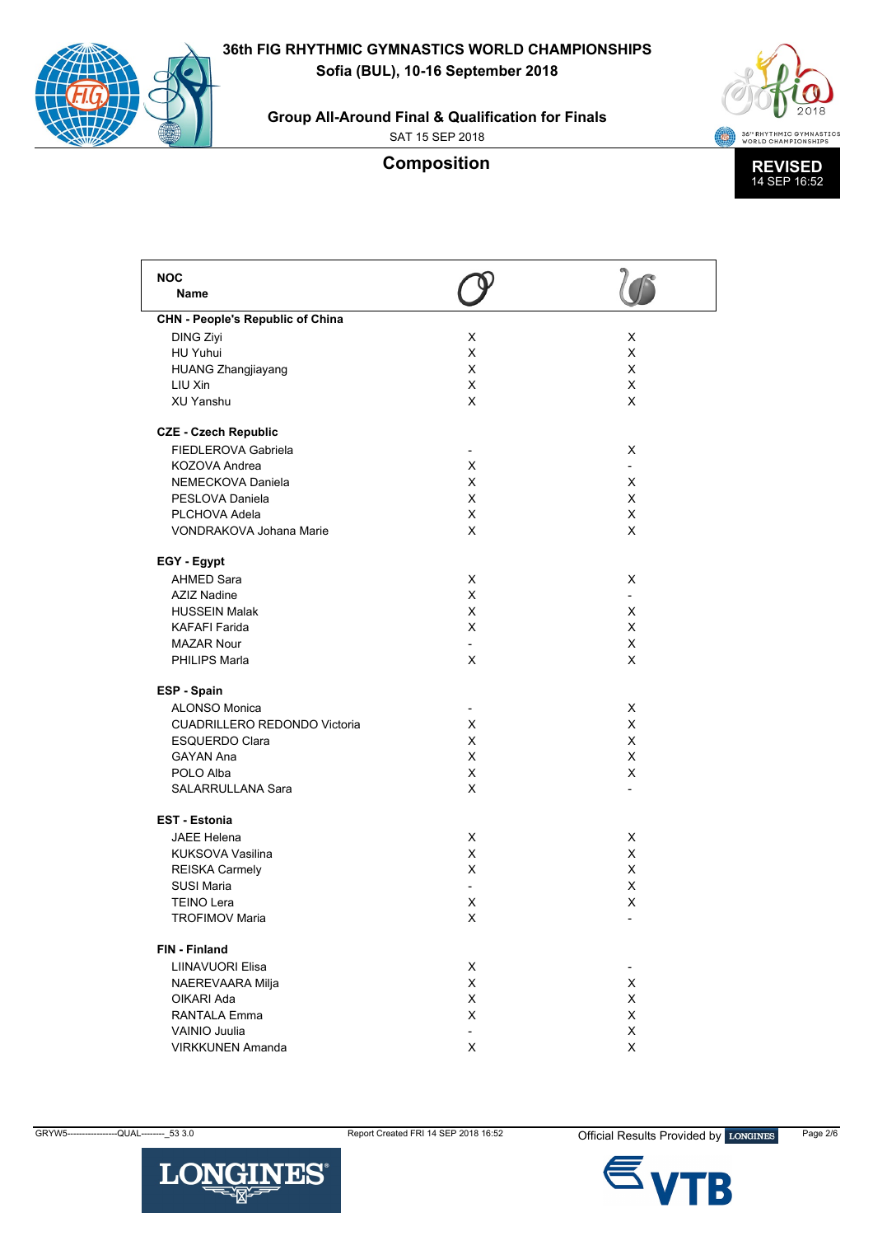**36th FIG RHYTHMIC GYMNASTICS WORLD CHAMPIONSHIPS**

**Sofia (BUL), 10-16 September 2018**



**Group All-Around Final & Qualification for Finals**

SAT 15 SEP 2018



| <b>NOC</b>                              |                          |                          |
|-----------------------------------------|--------------------------|--------------------------|
| Name                                    |                          |                          |
| <b>CHN - People's Republic of China</b> |                          |                          |
| <b>DING Ziyi</b>                        | X                        | X                        |
| HU Yuhui                                | X                        | X                        |
| <b>HUANG Zhangjiayang</b>               | х                        | X                        |
| LIU Xin                                 | X                        | X                        |
| <b>XU Yanshu</b>                        | X                        | X                        |
|                                         |                          |                          |
| <b>CZE - Czech Republic</b>             |                          |                          |
| FIEDLEROVA Gabriela                     | $\overline{\phantom{a}}$ | X                        |
| KOZOVA Andrea                           | X                        |                          |
| NEMECKOVA Daniela                       | X                        | X                        |
| PESLOVA Daniela                         | X                        | X                        |
| PLCHOVA Adela                           | X                        | X                        |
| <b>VONDRAKOVA Johana Marie</b>          | X                        | X                        |
|                                         |                          |                          |
| EGY - Egypt                             |                          |                          |
| <b>AHMED Sara</b>                       | X                        | X                        |
| <b>AZIZ Nadine</b>                      | X                        |                          |
| <b>HUSSEIN Malak</b>                    | X                        | X                        |
| <b>KAFAFI Farida</b>                    | X                        | X                        |
| <b>MAZAR Nour</b>                       |                          | X                        |
| PHILIPS Marla                           | X                        | X                        |
|                                         |                          |                          |
| ESP - Spain                             |                          |                          |
| <b>ALONSO Monica</b>                    |                          | X                        |
| <b>CUADRILLERO REDONDO Victoria</b>     | X                        | X                        |
| <b>ESQUERDO Clara</b>                   | X                        | X                        |
| GAYAN Ana                               | X                        | X                        |
| POLO Alba                               | X                        | X                        |
| SALARRULLANA Sara                       | X                        |                          |
| <b>EST - Estonia</b>                    |                          |                          |
| <b>JAEE Helena</b>                      | х                        | X                        |
| KUKSOVA Vasilina                        | X                        | X                        |
| <b>REISKA Carmely</b>                   | X                        | X                        |
| SUSI Maria                              |                          | X                        |
| <b>TEINO Lera</b>                       | х                        | X                        |
| <b>TROFIMOV Maria</b>                   | X                        | -                        |
|                                         |                          |                          |
| FIN - Finland                           |                          |                          |
| LIINAVUORI Elisa                        | X                        | $\overline{\phantom{0}}$ |
| NAEREVAARA Milja                        | X                        | X                        |
| OIKARI Ada                              | X                        | X                        |
| RANTALA Emma                            | X                        | X                        |
| VAINIO Juulia                           | $\overline{\phantom{a}}$ | X                        |
| <b>VIRKKUNEN Amanda</b>                 | X                        | X                        |



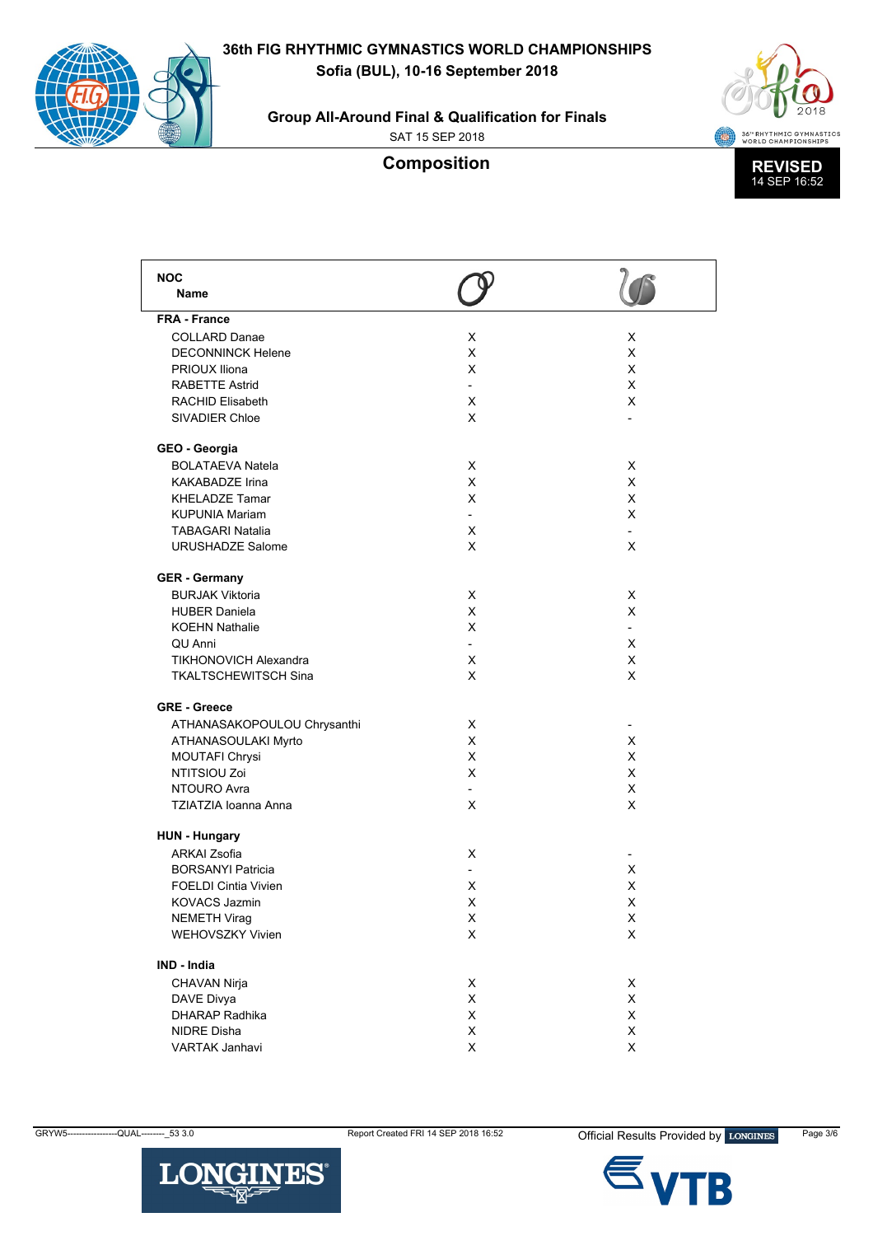**Group All-Around Final & Qualification for Finals**

SAT 15 SEP 2018



| <b>NOC</b>                   |                          |                          |
|------------------------------|--------------------------|--------------------------|
| Name                         |                          |                          |
| <b>FRA - France</b>          |                          |                          |
| <b>COLLARD Danae</b>         | х                        | X                        |
| <b>DECONNINCK Helene</b>     | X                        | X                        |
| PRIOUX Iliona                | X                        | X                        |
| <b>RABETTE Astrid</b>        |                          | X                        |
| <b>RACHID Elisabeth</b>      | X                        | X                        |
| SIVADIER Chloe               | X                        |                          |
| GEO - Georgia                |                          |                          |
| <b>BOLATAEVA Natela</b>      | X                        | X                        |
| <b>KAKABADZE Irina</b>       | X                        | X                        |
| <b>KHELADZE Tamar</b>        | X                        | X                        |
| <b>KUPUNIA Mariam</b>        |                          | X                        |
| <b>TABAGARI Natalia</b>      | X                        |                          |
| <b>URUSHADZE Salome</b>      | X                        | X                        |
| <b>GER - Germany</b>         |                          |                          |
| <b>BURJAK Viktoria</b>       | X                        | X                        |
| <b>HUBER Daniela</b>         | X                        | X                        |
| <b>KOEHN Nathalie</b>        | X                        | $\overline{\phantom{0}}$ |
| <b>QU</b> Anni               | $\overline{\phantom{0}}$ | X                        |
| <b>TIKHONOVICH Alexandra</b> | X                        | X                        |
| <b>TKALTSCHEWITSCH Sina</b>  | X                        | X                        |
| <b>GRE - Greece</b>          |                          |                          |
| ATHANASAKOPOULOU Chrysanthi  | X                        |                          |
| ATHANASOULAKI Myrto          | X                        | X                        |
| MOUTAFI Chrysi               | X                        | X                        |
| NTITSIOU Zoi                 | X                        | X                        |
| NTOURO Avra                  | $\overline{\phantom{0}}$ | X                        |
| <b>TZIATZIA Ioanna Anna</b>  | X                        | X                        |
| <b>HUN - Hungary</b>         |                          |                          |
| <b>ARKAI Zsofia</b>          | X                        |                          |
| <b>BORSANYI Patricia</b>     |                          | X                        |
| <b>FOELDI Cintia Vivien</b>  | х                        | X                        |
| <b>KOVACS Jazmin</b>         | X                        | X                        |
| <b>NEMETH Virag</b>          | x                        | X                        |
| WEHOVSZKY Vivien             | X                        | X                        |
| <b>IND - India</b>           |                          |                          |
| CHAVAN Nirja                 | х                        | X                        |
| DAVE Divya                   | X                        | X                        |
| <b>DHARAP Radhika</b>        | X                        | X                        |
| NIDRE Disha                  | X                        | X                        |
| VARTAK Janhavi               | X                        | X                        |
|                              |                          |                          |



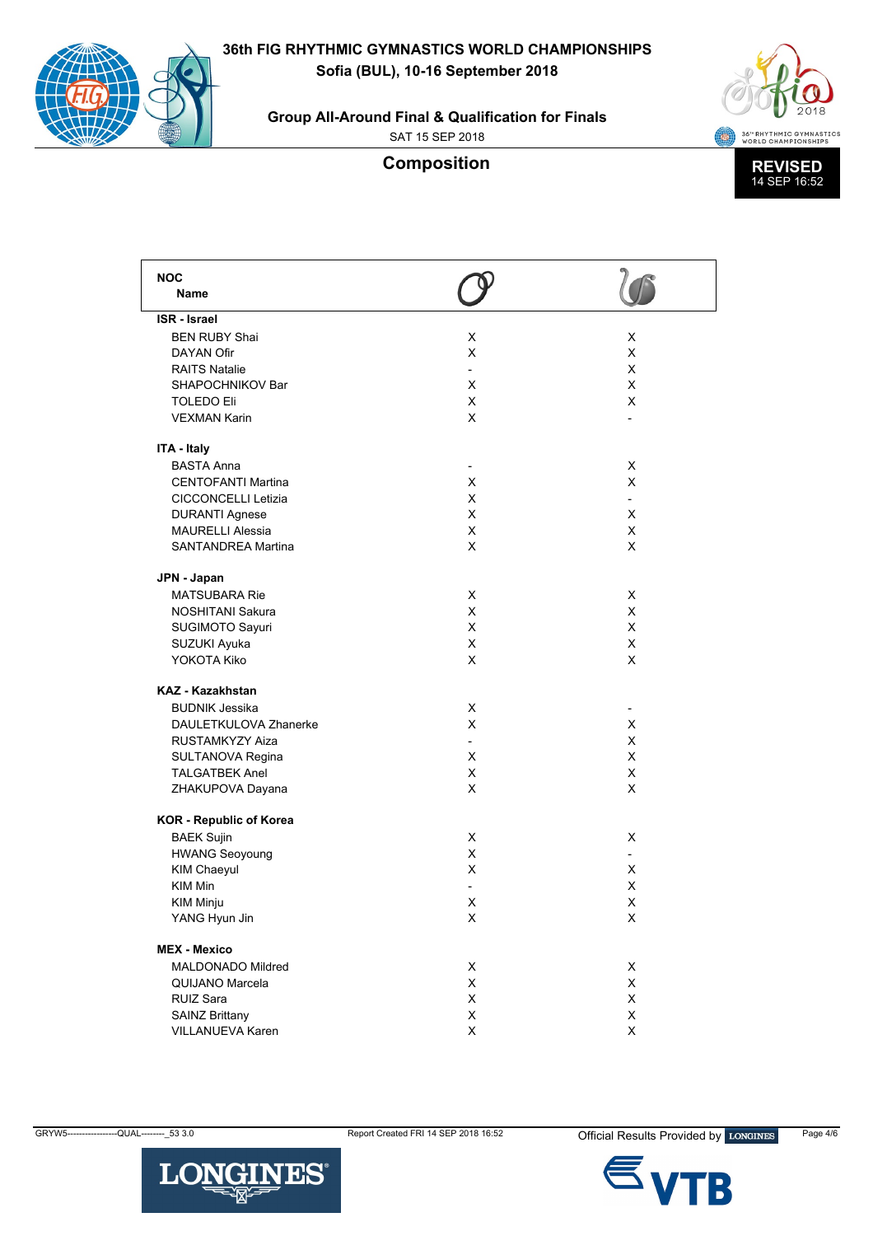**Group All-Around Final & Qualification for Finals**

SAT 15 SEP 2018



| <b>NOC</b>                     |                          |                |
|--------------------------------|--------------------------|----------------|
| <b>Name</b>                    |                          |                |
| <b>ISR</b> - Israel            |                          |                |
| <b>BEN RUBY Shai</b>           | X                        | X              |
| <b>DAYAN Ofir</b>              | X                        | X              |
| <b>RAITS Natalie</b>           | $\overline{\phantom{a}}$ | X              |
| SHAPOCHNIKOV Bar               | X                        | X              |
| <b>TOLEDO Eli</b>              | X                        | X              |
| <b>VEXMAN Karin</b>            | X                        |                |
|                                |                          |                |
| ITA - Italy                    |                          |                |
| <b>BASTA Anna</b>              | ۰                        | X              |
| <b>CENTOFANTI Martina</b>      | X                        | X              |
| <b>CICCONCELLI Letizia</b>     | X                        | $\overline{a}$ |
| <b>DURANTI Agnese</b>          | X                        | X              |
| <b>MAURELLI Alessia</b>        | X                        | X              |
| <b>SANTANDREA Martina</b>      | X                        | X              |
|                                |                          |                |
| JPN - Japan                    |                          |                |
| <b>MATSUBARA Rie</b>           | X                        | X              |
| NOSHITANI Sakura               | X                        | X              |
| SUGIMOTO Sayuri                | X                        | X              |
| SUZUKI Ayuka                   | X                        | X              |
| YOKOTA Kiko                    | X                        | X              |
|                                |                          |                |
| <b>KAZ - Kazakhstan</b>        |                          |                |
| <b>BUDNIK Jessika</b>          | X                        | ٠              |
| DAULETKULOVA Zhanerke          | X                        | X              |
| RUSTAMKYZY Aiza                |                          | X              |
| SULTANOVA Regina               | X                        | X              |
| <b>TALGATBEK Anel</b>          | X                        | X              |
| ZHAKUPOVA Dayana               | X                        | X              |
| <b>KOR</b> - Republic of Korea |                          |                |
| <b>BAEK Sujin</b>              | X                        | X              |
| <b>HWANG Seoyoung</b>          | X                        | $\overline{a}$ |
| <b>KIM Chaeyul</b>             | X                        | X              |
|                                |                          |                |
| <b>KIM Min</b>                 |                          | X              |
| KIM Minju                      | X                        | X              |
| YANG Hyun Jin                  | X                        | X              |
| <b>MEX - Mexico</b>            |                          |                |
| MALDONADO Mildred              | X                        | X              |
| QUIJANO Marcela                | X                        | X              |
| RUIZ Sara                      | Χ                        | X              |
| <b>SAINZ Brittany</b>          | Χ                        | X              |
| VILLANUEVA Karen               | Χ                        | X              |
|                                |                          |                |

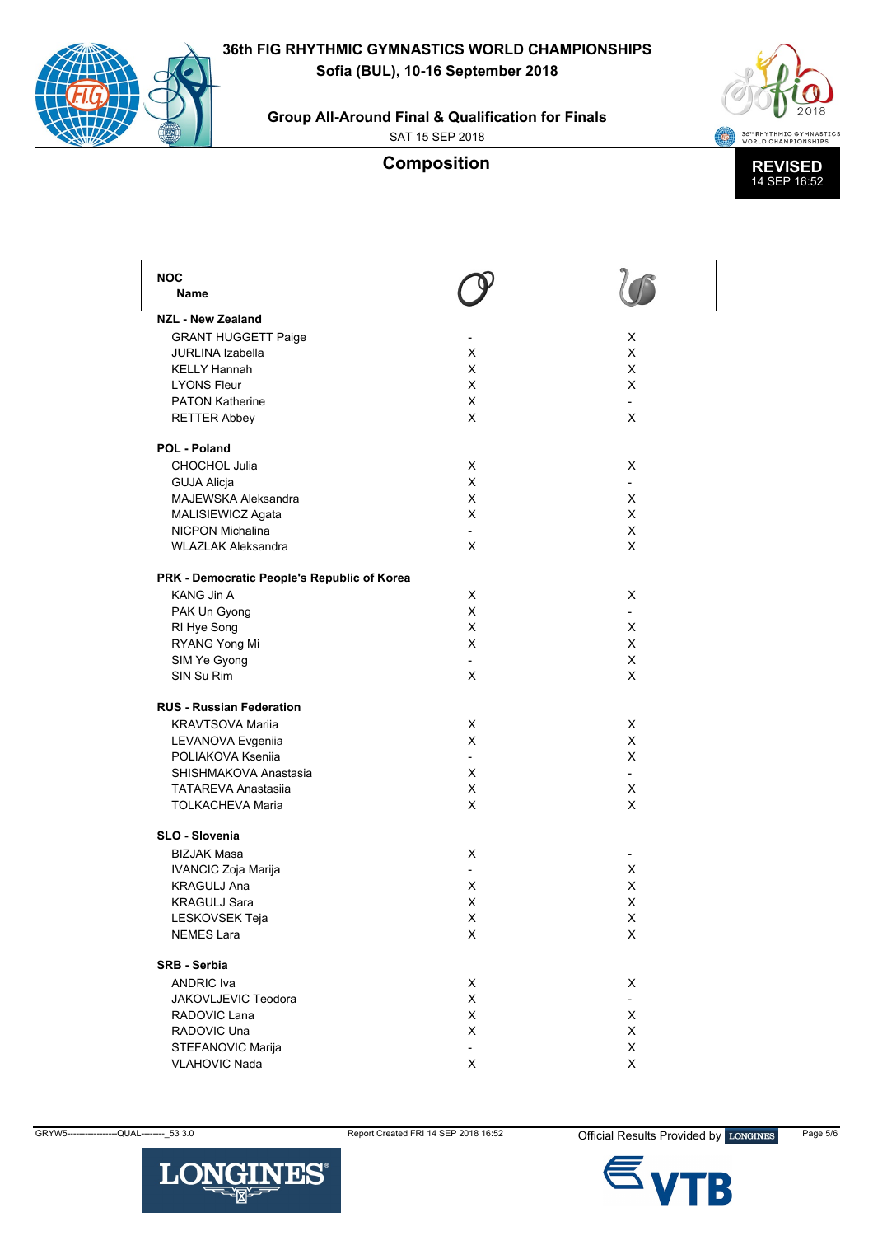**36th FIG RHYTHMIC GYMNASTICS WORLD CHAMPIONSHIPS**

**Sofia (BUL), 10-16 September 2018**





SAT 15 SEP 2018



| <b>NOC</b>                                  |                |   |
|---------------------------------------------|----------------|---|
| Name                                        |                |   |
| <b>NZL - New Zealand</b>                    |                |   |
| <b>GRANT HUGGETT Paige</b>                  |                | X |
| <b>JURLINA Izabella</b>                     | х              | X |
| <b>KELLY Hannah</b>                         | X              | X |
| <b>LYONS Fleur</b>                          | X              | X |
| <b>PATON Katherine</b>                      | X              |   |
| <b>RETTER Abbey</b>                         | X              | X |
| POL - Poland                                |                |   |
| <b>CHOCHOL Julia</b>                        | X              | X |
| <b>GUJA Alicja</b>                          | X              |   |
| <b>MAJEWSKA Aleksandra</b>                  | X              | X |
| MALISIEWICZ Agata                           | X              | X |
| NICPON Michalina                            | $\overline{a}$ | X |
| <b>WLAZLAK Aleksandra</b>                   | X              | X |
|                                             |                |   |
| PRK - Democratic People's Republic of Korea |                |   |
| KANG Jin A                                  | X              | X |
| PAK Un Gyong                                | X              |   |
| RI Hye Song                                 | X              | X |
| RYANG Yong Mi                               | X              | X |
| SIM Ye Gyong                                |                | X |
| SIN Su Rim                                  | X              | X |
| <b>RUS - Russian Federation</b>             |                |   |
| <b>KRAVTSOVA Marija</b>                     | X              | X |
|                                             | X              | X |
| LEVANOVA Evgeniia<br>POLIAKOVA Ksenija      |                | X |
|                                             |                |   |
| SHISHMAKOVA Anastasia                       | х              |   |
| <b>TATAREVA Anastasija</b>                  | X              | X |
| <b>TOLKACHEVA Maria</b>                     | X              | X |
| SLO - Slovenia                              |                |   |
| <b>BIZJAK Masa</b>                          | X              |   |
| IVANCIC Zoja Marija                         |                | X |
| <b>KRAGULJ Ana</b>                          | X              | х |
| <b>KRAGULJ Sara</b>                         | X              | X |
| LESKOVSEK Teja                              | х              | х |
| <b>NEMES Lara</b>                           | X              | X |
| <b>SRB - Serbia</b>                         |                |   |
| <b>ANDRIC</b> Iva                           | х              | X |
| <b>JAKOVLJEVIC Teodora</b>                  | X              |   |
|                                             |                |   |
| RADOVIC Lana                                | X              | X |
| RADOVIC Una                                 | X              | X |
| STEFANOVIC Marija                           |                | X |
| <b>VLAHOVIC Nada</b>                        | X              | X |